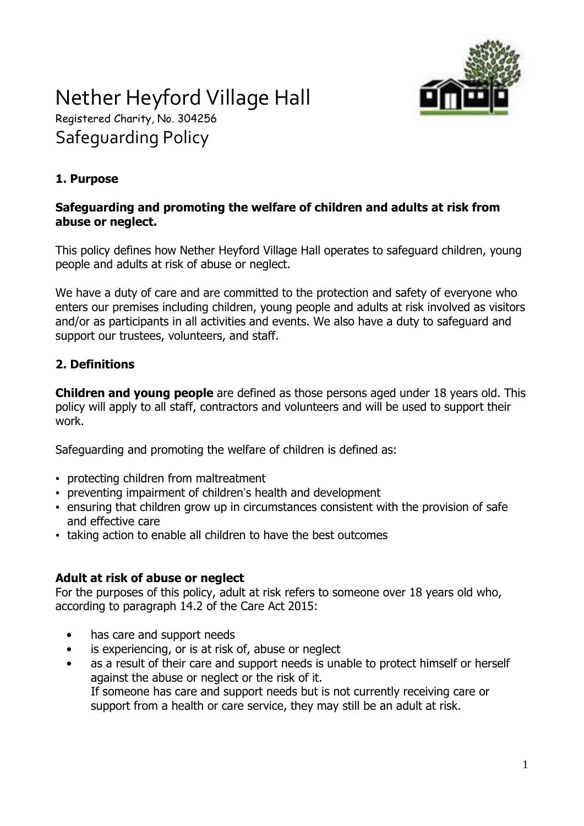

# Nether Heyford Village Hall Registered Charity, No. 304256 Safeguarding Policy

## **1. Purpose**

#### **Safeguarding and promoting the welfare of children and adults at risk from abuse or neglect.**

This policy defines how Nether Heyford Village Hall operates to safeguard children, young people and adults at risk of abuse or neglect.

We have a duty of care and are committed to the protection and safety of everyone who enters our premises including children, young people and adults at risk involved as visitors and/or as participants in all activities and events. We also have a duty to safeguard and support our trustees, volunteers, and staff.

## **2. Definitions**

**Children and young people** are defined as those persons aged under 18 years old. This policy will apply to all staff, contractors and volunteers and will be used to support their work.

Safeguarding and promoting the welfare of children is defined as:

- protecting children from maltreatment
- preventing impairment of children's health and development
- ensuring that children grow up in circumstances consistent with the provision of safe and effective care
- taking action to enable all children to have the best outcomes

#### **Adult at risk of abuse or neglect**

For the purposes of this policy, adult at risk refers to someone over 18 years old who, according to paragraph 14.2 of the Care Act 2015:

- has care and support needs
- is experiencing, or is at risk of, abuse or neglect
- as a result of their care and support needs is unable to protect himself or herself against the abuse or neglect or the risk of it. If someone has care and support needs but is not currently receiving care or support from a health or care service, they may still be an adult at risk.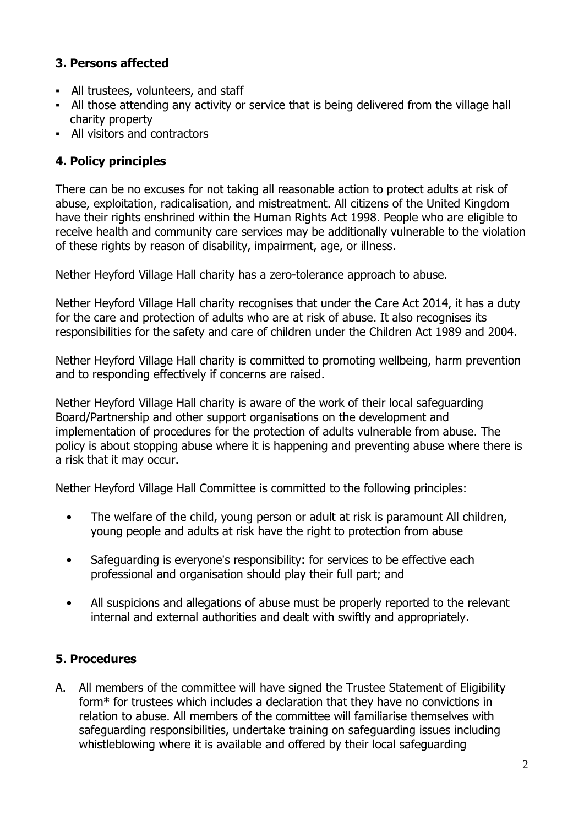## **3. Persons affected**

- All trustees, volunteers, and staff
- All those attending any activity or service that is being delivered from the village hall charity property
- All visitors and contractors

## **4. Policy principles**

There can be no excuses for not taking all reasonable action to protect adults at risk of abuse, exploitation, radicalisation, and mistreatment. All citizens of the United Kingdom have their rights enshrined within the Human Rights Act 1998. People who are eligible to receive health and community care services may be additionally vulnerable to the violation of these rights by reason of disability, impairment, age, or illness.

Nether Heyford Village Hall charity has a zero-tolerance approach to abuse.

Nether Heyford Village Hall charity recognises that under the Care Act 2014, it has a duty for the care and protection of adults who are at risk of abuse. It also recognises its responsibilities for the safety and care of children under the Children Act 1989 and 2004.

Nether Heyford Village Hall charity is committed to promoting wellbeing, harm prevention and to responding effectively if concerns are raised.

Nether Heyford Village Hall charity is aware of the work of their local safeguarding Board/Partnership and other support organisations on the development and implementation of procedures for the protection of adults vulnerable from abuse. The policy is about stopping abuse where it is happening and preventing abuse where there is a risk that it may occur.

Nether Heyford Village Hall Committee is committed to the following principles:

- The welfare of the child, young person or adult at risk is paramount All children, young people and adults at risk have the right to protection from abuse
- Safeguarding is everyone's responsibility: for services to be effective each professional and organisation should play their full part; and
- All suspicions and allegations of abuse must be properly reported to the relevant internal and external authorities and dealt with swiftly and appropriately.

### **5. Procedures**

A. All members of the committee will have signed the Trustee Statement of Eligibility form\* for trustees which includes a declaration that they have no convictions in relation to abuse. All members of the committee will familiarise themselves with safeguarding responsibilities, undertake training on safeguarding issues including whistleblowing where it is available and offered by their local safeguarding